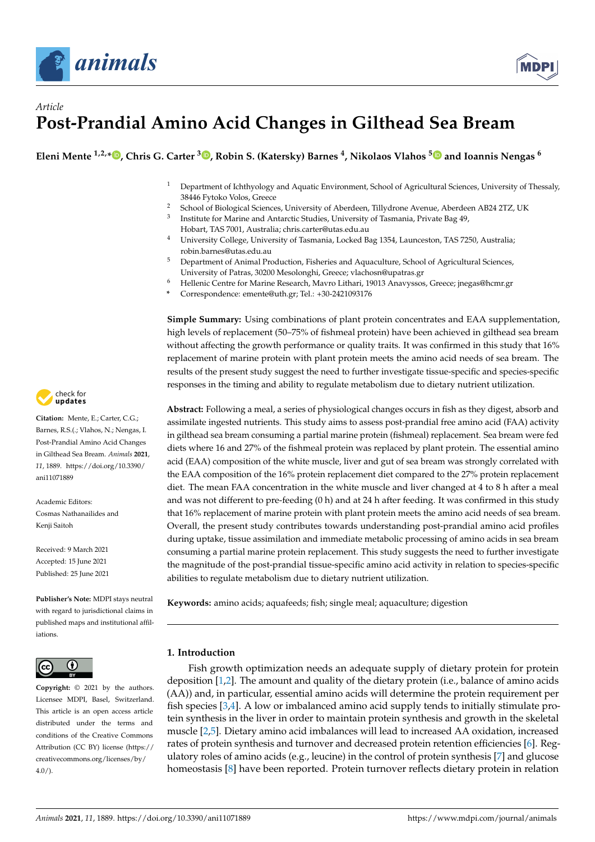



# *Article* **Post-Prandial Amino Acid Changes in Gilthead Sea Bream**

**Eleni Mente 1,2,\* [,](https://orcid.org/0000-0002-9223-4351) Chris G. Carter <sup>3</sup> [,](https://orcid.org/0000-0001-5210-1282) Robin S. (Katersky) Barnes <sup>4</sup> , Nikolaos Vlahos [5](https://orcid.org/0000-0003-0000-1241) and Ioannis Nengas <sup>6</sup>**

- <sup>1</sup> Department of Ichthyology and Aquatic Environment, School of Agricultural Sciences, University of Thessaly, 38446 Fytoko Volos, Greece
- <sup>2</sup> School of Biological Sciences, University of Aberdeen, Tillydrone Avenue, Aberdeen AB24 2TZ, UK
- 3 Institute for Marine and Antarctic Studies, University of Tasmania, Private Bag 49,
- Hobart, TAS 7001, Australia; chris.carter@utas.edu.au <sup>4</sup> University College, University of Tasmania, Locked Bag 1354, Launceston, TAS 7250, Australia;
	- robin.barnes@utas.edu.au
- <sup>5</sup> Department of Animal Production, Fisheries and Aquaculture, School of Agricultural Sciences, University of Patras, 30200 Mesolonghi, Greece; vlachosn@upatras.gr
- <sup>6</sup> Hellenic Centre for Marine Research, Mavro Lithari, 19013 Anavyssos, Greece; jnegas@hcmr.gr
- **\*** Correspondence: emente@uth.gr; Tel.: +30-2421093176

**Simple Summary:** Using combinations of plant protein concentrates and EAA supplementation, high levels of replacement (50–75% of fishmeal protein) have been achieved in gilthead sea bream without affecting the growth performance or quality traits. It was confirmed in this study that 16% replacement of marine protein with plant protein meets the amino acid needs of sea bream. The results of the present study suggest the need to further investigate tissue-specific and species-specific responses in the timing and ability to regulate metabolism due to dietary nutrient utilization.

**Abstract:** Following a meal, a series of physiological changes occurs in fish as they digest, absorb and assimilate ingested nutrients. This study aims to assess post-prandial free amino acid (FAA) activity in gilthead sea bream consuming a partial marine protein (fishmeal) replacement. Sea bream were fed diets where 16 and 27% of the fishmeal protein was replaced by plant protein. The essential amino acid (EAA) composition of the white muscle, liver and gut of sea bream was strongly correlated with the EAA composition of the 16% protein replacement diet compared to the 27% protein replacement diet. The mean FAA concentration in the white muscle and liver changed at 4 to 8 h after a meal and was not different to pre-feeding (0 h) and at 24 h after feeding. It was confirmed in this study that 16% replacement of marine protein with plant protein meets the amino acid needs of sea bream. Overall, the present study contributes towards understanding post-prandial amino acid profiles during uptake, tissue assimilation and immediate metabolic processing of amino acids in sea bream consuming a partial marine protein replacement. This study suggests the need to further investigate the magnitude of the post-prandial tissue-specific amino acid activity in relation to species-specific abilities to regulate metabolism due to dietary nutrient utilization.

**Keywords:** amino acids; aquafeeds; fish; single meal; aquaculture; digestion

# **1. Introduction**

Fish growth optimization needs an adequate supply of dietary protein for protein deposition [\[1](#page-10-0)[,2\]](#page-10-1). The amount and quality of the dietary protein (i.e., balance of amino acids (AA)) and, in particular, essential amino acids will determine the protein requirement per fish species [\[3,](#page-10-2)[4\]](#page-10-3). A low or imbalanced amino acid supply tends to initially stimulate protein synthesis in the liver in order to maintain protein synthesis and growth in the skeletal muscle [\[2](#page-10-1)[,5\]](#page-10-4). Dietary amino acid imbalances will lead to increased AA oxidation, increased rates of protein synthesis and turnover and decreased protein retention efficiencies [\[6\]](#page-10-5). Regulatory roles of amino acids (e.g., leucine) in the control of protein synthesis [\[7\]](#page-10-6) and glucose homeostasis [\[8\]](#page-10-7) have been reported. Protein turnover reflects dietary protein in relation



**Citation:** Mente, E.; Carter, C.G.; Barnes, R.S.(.; Vlahos, N.; Nengas, I. Post-Prandial Amino Acid Changes in Gilthead Sea Bream. *Animals* **2021**, *11*, 1889. [https://doi.org/10.3390/](https://doi.org/10.3390/ani11071889) [ani11071889](https://doi.org/10.3390/ani11071889)

Academic Editors: Cosmas Nathanailides and Kenji Saitoh

Received: 9 March 2021 Accepted: 15 June 2021 Published: 25 June 2021

**Publisher's Note:** MDPI stays neutral with regard to jurisdictional claims in published maps and institutional affiliations.



**Copyright:** © 2021 by the authors. Licensee MDPI, Basel, Switzerland. This article is an open access article distributed under the terms and conditions of the Creative Commons Attribution (CC BY) license (https:/[/](https://creativecommons.org/licenses/by/4.0/) [creativecommons.org/licenses/by/](https://creativecommons.org/licenses/by/4.0/)  $4.0/$ ).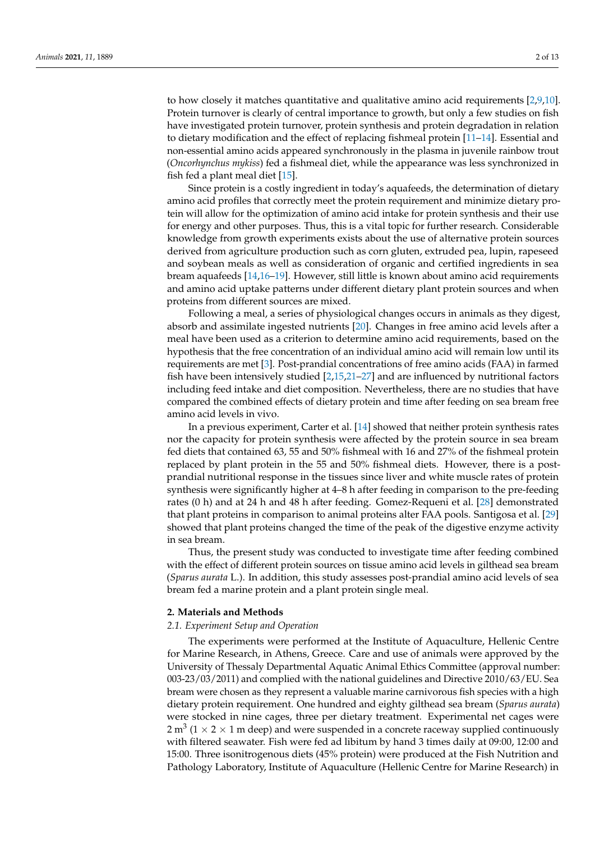to how closely it matches quantitative and qualitative amino acid requirements [\[2,](#page-10-1)[9,](#page-10-8)[10\]](#page-10-9). Protein turnover is clearly of central importance to growth, but only a few studies on fish have investigated protein turnover, protein synthesis and protein degradation in relation to dietary modification and the effect of replacing fishmeal protein [\[11–](#page-10-10)[14\]](#page-10-11). Essential and non-essential amino acids appeared synchronously in the plasma in juvenile rainbow trout (*Oncorhynchus mykiss*) fed a fishmeal diet, while the appearance was less synchronized in fish fed a plant meal diet [\[15\]](#page-10-12).

Since protein is a costly ingredient in today's aquafeeds, the determination of dietary amino acid profiles that correctly meet the protein requirement and minimize dietary protein will allow for the optimization of amino acid intake for protein synthesis and their use for energy and other purposes. Thus, this is a vital topic for further research. Considerable knowledge from growth experiments exists about the use of alternative protein sources derived from agriculture production such as corn gluten, extruded pea, lupin, rapeseed and soybean meals as well as consideration of organic and certified ingredients in sea bream aquafeeds [\[14,](#page-10-11)[16](#page-10-13)[–19\]](#page-10-14). However, still little is known about amino acid requirements and amino acid uptake patterns under different dietary plant protein sources and when proteins from different sources are mixed.

Following a meal, a series of physiological changes occurs in animals as they digest, absorb and assimilate ingested nutrients [\[20\]](#page-10-15). Changes in free amino acid levels after a meal have been used as a criterion to determine amino acid requirements, based on the hypothesis that the free concentration of an individual amino acid will remain low until its requirements are met [\[3\]](#page-10-2). Post-prandial concentrations of free amino acids (FAA) in farmed fish have been intensively studied [\[2,](#page-10-1)[15,](#page-10-12)[21–](#page-10-16)[27\]](#page-11-0) and are influenced by nutritional factors including feed intake and diet composition. Nevertheless, there are no studies that have compared the combined effects of dietary protein and time after feeding on sea bream free amino acid levels in vivo.

In a previous experiment, Carter et al. [\[14\]](#page-10-11) showed that neither protein synthesis rates nor the capacity for protein synthesis were affected by the protein source in sea bream fed diets that contained 63, 55 and 50% fishmeal with 16 and 27% of the fishmeal protein replaced by plant protein in the 55 and 50% fishmeal diets. However, there is a postprandial nutritional response in the tissues since liver and white muscle rates of protein synthesis were significantly higher at 4–8 h after feeding in comparison to the pre-feeding rates (0 h) and at 24 h and 48 h after feeding. Gomez-Requeni et al. [\[28\]](#page-11-1) demonstrated that plant proteins in comparison to animal proteins alter FAA pools. Santigosa et al. [\[29\]](#page-11-2) showed that plant proteins changed the time of the peak of the digestive enzyme activity in sea bream.

Thus, the present study was conducted to investigate time after feeding combined with the effect of different protein sources on tissue amino acid levels in gilthead sea bream (*Sparus aurata* L.). In addition, this study assesses post-prandial amino acid levels of sea bream fed a marine protein and a plant protein single meal.

## **2. Materials and Methods**

#### *2.1. Experiment Setup and Operation*

The experiments were performed at the Institute of Aquaculture, Hellenic Centre for Marine Research, in Athens, Greece. Care and use of animals were approved by the University of Thessaly Departmental Aquatic Animal Ethics Committee (approval number: 003-23/03/2011) and complied with the national guidelines and Directive 2010/63/EU. Sea bream were chosen as they represent a valuable marine carnivorous fish species with a high dietary protein requirement. One hundred and eighty gilthead sea bream (*Sparus aurata*) were stocked in nine cages, three per dietary treatment. Experimental net cages were 2 m<sup>3</sup> (1  $\times$  2  $\times$  1 m deep) and were suspended in a concrete raceway supplied continuously with filtered seawater. Fish were fed ad libitum by hand 3 times daily at 09:00, 12:00 and 15:00. Three isonitrogenous diets (45% protein) were produced at the Fish Nutrition and Pathology Laboratory, Institute of Aquaculture (Hellenic Centre for Marine Research) in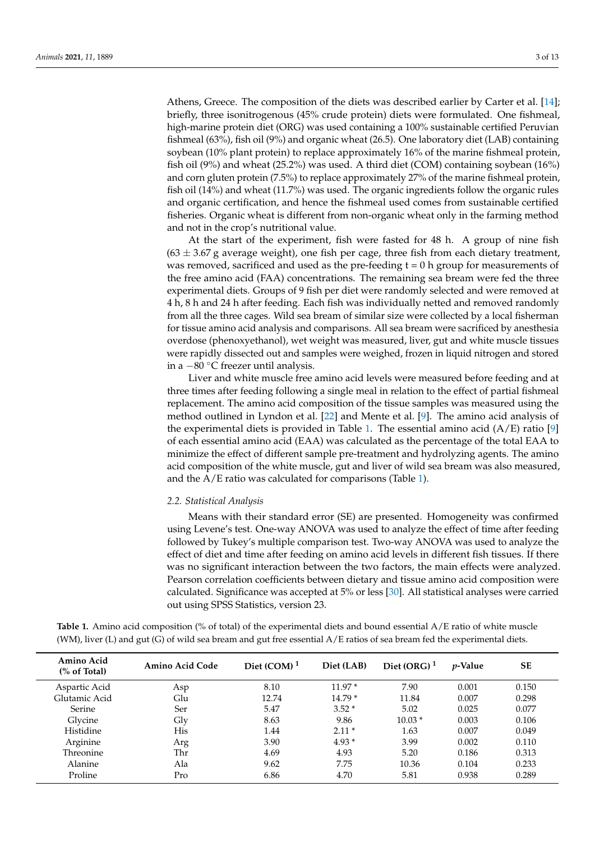Athens, Greece. The composition of the diets was described earlier by Carter et al. [\[14\]](#page-10-11); briefly, three isonitrogenous (45% crude protein) diets were formulated. One fishmeal, high-marine protein diet (ORG) was used containing a 100% sustainable certified Peruvian fishmeal (63%), fish oil (9%) and organic wheat (26.5). One laboratory diet (LAB) containing soybean (10% plant protein) to replace approximately 16% of the marine fishmeal protein, fish oil (9%) and wheat (25.2%) was used. A third diet (COM) containing soybean (16%) and corn gluten protein (7.5%) to replace approximately 27% of the marine fishmeal protein, fish oil (14%) and wheat (11.7%) was used. The organic ingredients follow the organic rules and organic certification, and hence the fishmeal used comes from sustainable certified fisheries. Organic wheat is different from non-organic wheat only in the farming method and not in the crop's nutritional value.

At the start of the experiment, fish were fasted for 48 h. A group of nine fish  $(63 \pm 3.67$  g average weight), one fish per cage, three fish from each dietary treatment, was removed, sacrificed and used as the pre-feeding  $t = 0$  h group for measurements of the free amino acid (FAA) concentrations. The remaining sea bream were fed the three experimental diets. Groups of 9 fish per diet were randomly selected and were removed at 4 h, 8 h and 24 h after feeding. Each fish was individually netted and removed randomly from all the three cages. Wild sea bream of similar size were collected by a local fisherman for tissue amino acid analysis and comparisons. All sea bream were sacrificed by anesthesia overdose (phenoxyethanol), wet weight was measured, liver, gut and white muscle tissues were rapidly dissected out and samples were weighed, frozen in liquid nitrogen and stored in a −80 ◦C freezer until analysis.

Liver and white muscle free amino acid levels were measured before feeding and at three times after feeding following a single meal in relation to the effect of partial fishmeal replacement. The amino acid composition of the tissue samples was measured using the method outlined in Lyndon et al. [\[22\]](#page-11-3) and Mente et al. [\[9\]](#page-10-8). The amino acid analysis of the experimental diets is provided in Table [1.](#page-3-0) The essential amino acid  $(A/E)$  ratio [\[9\]](#page-10-8) of each essential amino acid (EAA) was calculated as the percentage of the total EAA to minimize the effect of different sample pre-treatment and hydrolyzing agents. The amino acid composition of the white muscle, gut and liver of wild sea bream was also measured, and the A/E ratio was calculated for comparisons (Table [1\)](#page-3-0).

#### *2.2. Statistical Analysis*

Means with their standard error (SE) are presented. Homogeneity was confirmed using Levene's test. One-way ANOVA was used to analyze the effect of time after feeding followed by Tukey's multiple comparison test. Two-way ANOVA was used to analyze the effect of diet and time after feeding on amino acid levels in different fish tissues. If there was no significant interaction between the two factors, the main effects were analyzed. Pearson correlation coefficients between dietary and tissue amino acid composition were calculated. Significance was accepted at 5% or less [\[30\]](#page-11-4). All statistical analyses were carried out using SPSS Statistics, version 23.

| Table 1. Amino acid composition (% of total) of the experimental diets and bound essential A/E ratio of white muscle     |
|--------------------------------------------------------------------------------------------------------------------------|
| (WM), liver (L) and gut (G) of wild sea bream and gut free essential A/E ratios of sea bream fed the experimental diets. |

| Amino Acid<br>$\frac{6}{6}$ of Total) | Amino Acid Code | Diet $(COM)^1$ | Diet (LAB) | Diet (ORG) $1$ | <i>p</i> -Value | <b>SE</b> |
|---------------------------------------|-----------------|----------------|------------|----------------|-----------------|-----------|
| Aspartic Acid                         | Asp             | 8.10           | $11.97*$   | 7.90           | 0.001           | 0.150     |
| Glutamic Acid                         | Glu             | 12.74          | $14.79*$   | 11.84          | 0.007           | 0.298     |
| Serine                                | Ser             | 5.47           | $3.52*$    | 5.02           | 0.025           | 0.077     |
| Glycine                               | Gly             | 8.63           | 9.86       | $10.03*$       | 0.003           | 0.106     |
| Histidine                             | His             | 1.44           | $2.11*$    | 1.63           | 0.007           | 0.049     |
| Arginine                              | Arg             | 3.90           | $4.93*$    | 3.99           | 0.002           | 0.110     |
| Threonine                             | Thr             | 4.69           | 4.93       | 5.20           | 0.186           | 0.313     |
| Alanine                               | Ala             | 9.62           | 7.75       | 10.36          | 0.104           | 0.233     |
| Proline                               | Pro             | 6.86           | 4.70       | 5.81           | 0.938           | 0.289     |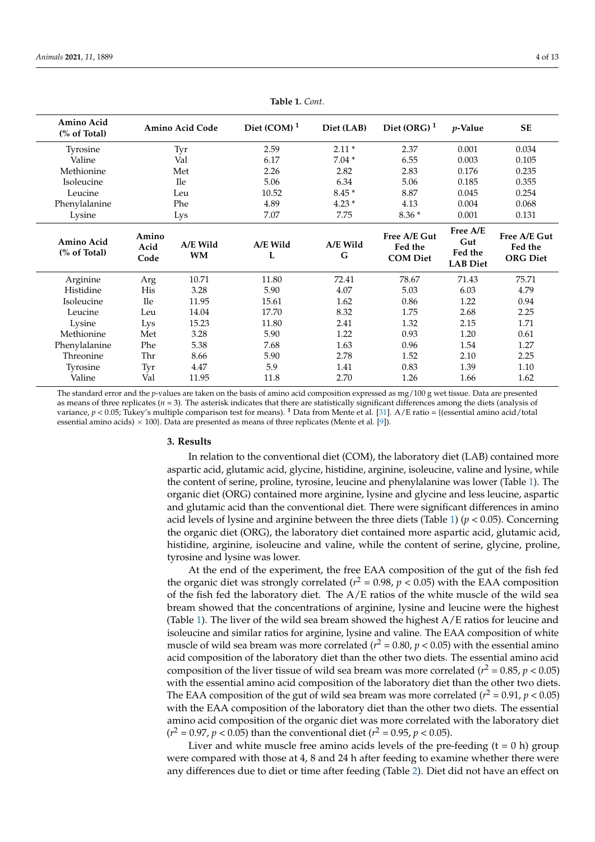<span id="page-3-0"></span>

| Amino Acid<br>% of Total |                       | <b>Amino Acid Code</b> | Diet $(COM)^1$ | Diet (LAB)    | Diet (ORG) $1$                             | $p$ -Value                                    | <b>SE</b>                                  |
|--------------------------|-----------------------|------------------------|----------------|---------------|--------------------------------------------|-----------------------------------------------|--------------------------------------------|
| Tyrosine                 |                       | Tyr                    | 2.59           | $2.11*$       | 2.37                                       | 0.001                                         | 0.034                                      |
| Valine                   |                       | Val                    | 6.17           | $7.04*$       | 6.55                                       | 0.003                                         | 0.105                                      |
| Methionine               |                       | Met                    | 2.26           | 2.82          | 2.83                                       | 0.176                                         | 0.235                                      |
| Isoleucine               |                       | <b>Ile</b>             | 5.06           | 6.34          | 5.06                                       | 0.185                                         | 0.355                                      |
| Leucine                  | Leu                   |                        | 10.52          | $8.45*$       | 8.87                                       | 0.045                                         | 0.254                                      |
| Phenylalanine            | Phe                   |                        | 4.89           | $4.23*$       | 4.13                                       | 0.004                                         | 0.068                                      |
| Lysine                   |                       | Lys                    | 7.07           | 7.75          | $8.36*$                                    | 0.001                                         | 0.131                                      |
| Amino Acid<br>% of Total | Amino<br>Acid<br>Code | A/E Wild<br><b>WM</b>  | A/E Wild<br>L  | A/E Wild<br>G | Free A/E Gut<br>Fed the<br><b>COM Diet</b> | Free A/E<br>Gut<br>Fed the<br><b>LAB Diet</b> | Free A/E Gut<br>Fed the<br><b>ORG Diet</b> |
| Arginine                 | Arg                   | 10.71                  | 11.80          | 72.41         | 78.67                                      | 71.43                                         | 75.71                                      |
| Histidine                | His                   | 3.28                   | 5.90           | 4.07          | 5.03                                       | 6.03                                          | 4.79                                       |
| Isoleucine               | <b>Ile</b>            | 11.95                  | 15.61          | 1.62          | 0.86                                       | 1.22                                          | 0.94                                       |
| Leucine                  | Leu                   | 14.04                  | 17.70          | 8.32          | 1.75                                       | 2.68                                          | 2.25                                       |
| Lysine                   | Lys                   | 15.23                  | 11.80          | 2.41          | 1.32                                       | 2.15                                          | 1.71                                       |
| Methionine               | Met                   | 3.28                   | 5.90           | 1.22          | 0.93                                       | 1.20                                          | 0.61                                       |
| Phenylalanine            | Phe                   | 5.38                   | 7.68           | 1.63          | 0.96                                       | 1.54                                          | 1.27                                       |
| Threonine                | Thr                   | 8.66                   | 5.90           | 2.78          | 1.52                                       | 2.10                                          | 2.25                                       |
| Tyrosine                 | Tyr                   | 4.47                   | 5.9            | 1.41          | 0.83                                       | 1.39                                          | 1.10                                       |
| Valine                   | Val                   | 11.95                  | 11.8           | 2.70          | 1.26                                       | 1.66                                          | 1.62                                       |

**Table 1.** *Cont*.

The standard error and the *p*-values are taken on the basis of amino acid composition expressed as mg/100 g wet tissue. Data are presented as means of three replicates (*n* = 3). The asterisk indicates that there are statistically significant differences among the diets (analysis of variance, *p* < 0.05; Tukey's multiple comparison test for means). **<sup>1</sup>** Data from Mente et al. [\[31\]](#page-11-5). A/E ratio = {(essential amino acid/total essential amino acids)  $\times$  100}. Data are presented as means of three replicates (Mente et al. [\[9\]](#page-10-8)).

#### **3. Results**

In relation to the conventional diet (COM), the laboratory diet (LAB) contained more aspartic acid, glutamic acid, glycine, histidine, arginine, isoleucine, valine and lysine, while the content of serine, proline, tyrosine, leucine and phenylalanine was lower (Table [1\)](#page-3-0). The organic diet (ORG) contained more arginine, lysine and glycine and less leucine, aspartic and glutamic acid than the conventional diet. There were significant differences in amino acid levels of lysine and arginine between the three diets (Table [1\)](#page-3-0) ( $p < 0.05$ ). Concerning the organic diet (ORG), the laboratory diet contained more aspartic acid, glutamic acid, histidine, arginine, isoleucine and valine, while the content of serine, glycine, proline, tyrosine and lysine was lower.

At the end of the experiment, the free EAA composition of the gut of the fish fed the organic diet was strongly correlated ( $r^2$  = 0.98,  $p$  < 0.05) with the EAA composition of the fish fed the laboratory diet. The A/E ratios of the white muscle of the wild sea bream showed that the concentrations of arginine, lysine and leucine were the highest (Table [1\)](#page-3-0). The liver of the wild sea bream showed the highest A/E ratios for leucine and isoleucine and similar ratios for arginine, lysine and valine. The EAA composition of white muscle of wild sea bream was more correlated ( $r^2$  = 0.80,  $p$  < 0.05) with the essential amino acid composition of the laboratory diet than the other two diets. The essential amino acid composition of the liver tissue of wild sea bream was more correlated ( $r^2 = 0.85$ ,  $p < 0.05$ ) with the essential amino acid composition of the laboratory diet than the other two diets. The EAA composition of the gut of wild sea bream was more correlated ( $r^2 = 0.91$ ,  $p < 0.05$ ) with the EAA composition of the laboratory diet than the other two diets. The essential amino acid composition of the organic diet was more correlated with the laboratory diet  $(r^2 = 0.97, p < 0.05)$  than the conventional diet  $(r^2 = 0.95, p < 0.05)$ .

Liver and white muscle free amino acids levels of the pre-feeding  $(t = 0 h)$  group were compared with those at 4, 8 and 24 h after feeding to examine whether there were any differences due to diet or time after feeding (Table [2\)](#page-4-0). Diet did not have an effect on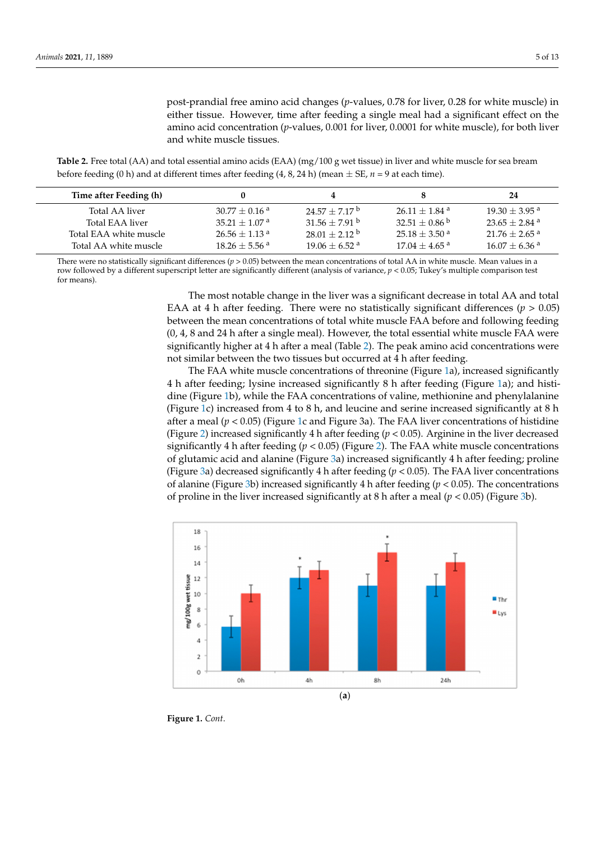post-prandial free amino acid changes (*p*-values, 0.78 for liver, 0.28 for white muscle) in either tissue. However, time after feeding a single meal had a significant effect on the amino acid concentration (*p*-values, 0.001 for liver, 0.0001 for white muscle), for both liver and white muscle tissues.

<span id="page-4-0"></span>Table 2. Free total (AA) and total essential amino acids (EAA) (mg/100 g wet tissue) in liver and white muscle for sea bream before feeding (0 h) and at different times after feeding (4, 8, 24 h) (mean  $\pm$  SE,  $n$  = 9 at each time).

| Time after Feeding (h) |                             |                             |                             | 24                          |
|------------------------|-----------------------------|-----------------------------|-----------------------------|-----------------------------|
| Total AA liver         | $30.77\pm0.16$ a            | $24.57 + 7.17^{\mathrm{b}}$ | $26.11 + 1.84$ <sup>a</sup> | $19.30 + 3.95$ <sup>a</sup> |
| Total EAA liver        | $35.21 + 1.07$ <sup>a</sup> | $31.56 + 7.91$ b            | $32.51\pm0.86$ b            | $23.65 + 2.84$ <sup>a</sup> |
| Total EAA white muscle | $26.56 + 1.13$ <sup>a</sup> | $28.01 + 2.12^{\text{b}}$   | $25.18 \pm$ 3.50 $^{\rm a}$ | $21.76 + 2.65$ <sup>a</sup> |
| Total AA white muscle  | $18.26 + 5.56$ <sup>a</sup> | $19.06 + 6.52$ <sup>a</sup> | $17.04 + 4.65$ <sup>a</sup> | $16.07 + 6.36$ <sup>a</sup> |

There were no statistically significant differences (*p* > 0.05) between the mean concentrations of total AA in white muscle. Mean values in a row followed by a different superscript letter are significantly different (analysis of variance*, p <* 0.05; Tukey's multiple comparison test<br>for means). for means).  $\frac{1}{100}$  and  $\frac{1}{100}$  and  $\frac{1}{100}$  between the mean concentrations of total AA in white muscle. Mean values in a

> The most notable change in the liver was a significant decrease in total AA and total The most notable change in the liver was a significant decrease in total AA and total EAA at 4 h after feeding. There were no statistically significant differences  $(p > 0.05)$ between the mean concentrations of total white muscle FAA before and following feeding (0, 4, 8 and 24 h after a single meal). However, the total essential white muscle FAA were (0, 4, 8 and 24 h after a single meal). However, the total essential white muscle FAA were significantly higher at 4 h after a meal (Table 2). The peak amino acid concentrations were significantly higher at 4 h after a [me](#page-4-0)al (Table 2). The peak amino acid concentrations were not similar between the two tissues but occurred at 4 h after feeding. not similar between the two tissues but occurred at 4 h after feeding.

> The FAA white muscle concentrations of thre[oni](#page-5-0)ne (Figure 1a), increased significantly 4 h after f[eed](#page-5-0)ing; lysine increased significantly 8 h after feeding (Figure 1a); and histidine (Figure 1b), while the FAA concentrations of valine, methionine and phenylalanine (Figure [1c](#page-5-0)) increased from 4 to 8 h, and leucine and serine increased significantly at 8 h after a meal (*p* < 0.05) (Figure [1c](#page-5-0) and Figure 3a). The FAA liver concentrations of histidine (Figure [2\)](#page-6-0) increased significantly 4 h after feeding ( $p < 0.05$ ). Arginine in the liver decreased significantly 4 h after feeding ( $p < 0.05$ ) (Figure [2\)](#page-6-0). The FAA white muscle concentrations of glutamic acid and alanine (Figure [3a](#page-7-0)) increased significantly 4 h after feeding; proline (Figure [3a](#page-7-0)) decreased significantly 4 h after feeding ( $p < 0.05$ ). The FAA liver concentrations of alanine (Figure [3b](#page-7-0)) increased significantly 4 h after feeding ( $p < 0.05$ ). The concentrations of proline in the liver increased significantly at 8 h after a meal ( $p < 0.05$ ) (Figure [3b](#page-7-0)).



**Figure 1.** *Cont*.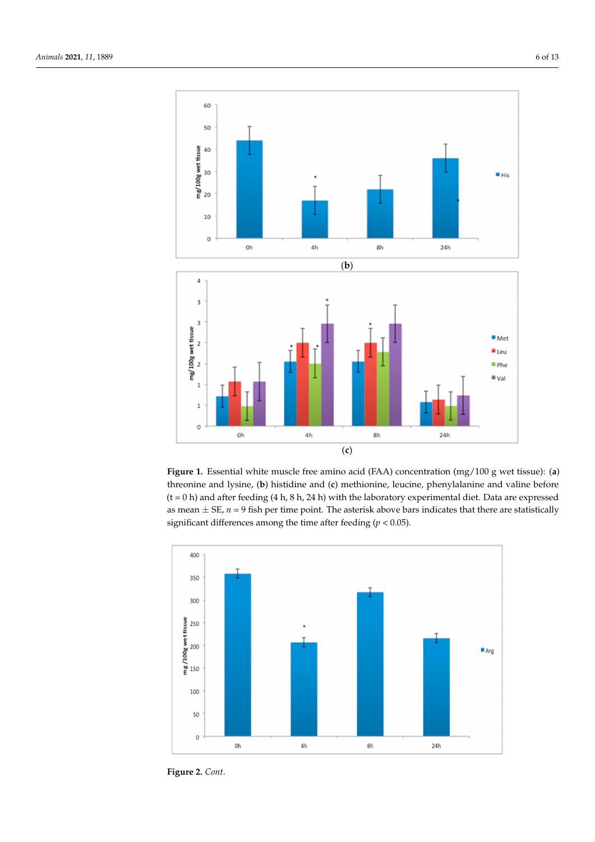<span id="page-5-0"></span>

Figure 1. Essential white muscle free amino acid (FAA) concentration (mg/100 g wet tissue): (a) threonine and lysine, (b) histidine and (c) methionine, leucine, phenylalanine and valine before laboratory experimental diet. Data are expressed as mean ± SE, *n* = 9 fish per time point. The asterisk above bars indicates  $(t = 0 h)$  and after feeding (4 h, 8 h, 24 h) with the laboratory experimental diet. Data are expressed as mean  $\pm$  SE,  $n$  = 9 fish per time point. The asterisk above bars indicates that there are statistically significant differences among the time after feeding ( $p < 0.05$ ).



**Figure 2.** *Cont*.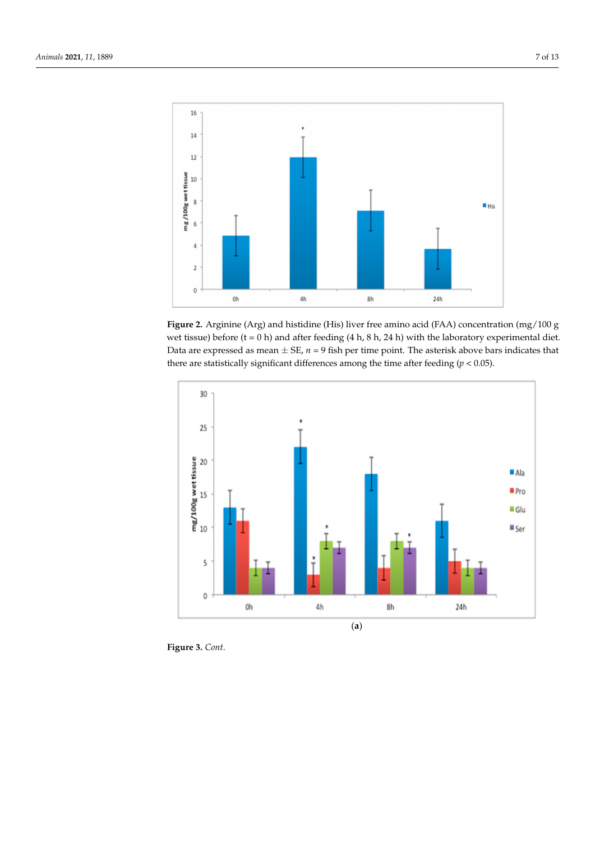<span id="page-6-0"></span>

*Animals* **2021**, *11*, x FOR PEER REVIEW 7 of 13

**Figure 2.** Arginine (Arg) and histidine (His) liver free amino acid (FAA) concentration (mg/100 g **Figure 2.** Arginine (Arg) and histidine (His) liver free amino acid (FAA) concentration (mg/100 g  $\frac{1}{2}$  and  $\frac{1}{2}$  and  $\frac{1}{2}$  and  $\frac{1}{2}$  and  $\frac{1}{2}$  and  $\frac{1}{2}$  and  $\frac{1}{2}$  and  $\frac{1}{2}$  and  $\frac{1}{2}$  and  $\frac{1}{2}$  and  $\frac{1}{2}$  and  $\frac{1}{2}$  and  $\frac{1}{2}$  and  $\frac{1}{2}$  and  $\frac{1}{2}$  and  $\frac{1}{2}$  a Data are expressed as mean  $\pm$  SE,  $n$  = 9 fish per time point. The asterisk above bars indicates that there are statistically significant differences among the time after feeding (*p* < 0.05). there are statistically significant differences among the time after feeding (*p* < 0.05).  $\mathcal{C}$  to  $\mathcal{C}$  h) and after feeding (4 h, 8 h, 24 h) with the laboratory experimental diet.



**Figure 3.** *Cont*.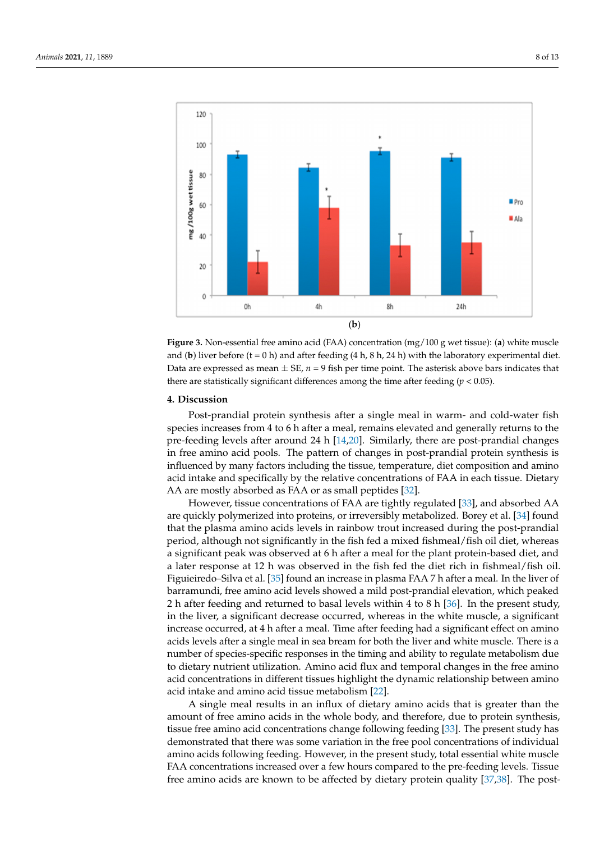<span id="page-7-0"></span>

*Animals* **2021**, *11*, x FOR PEER REVIEW 8 of 13

**Figure 3.** Non-essential free amino acid (FAA) concentration (mg/100 g wet tissue): (a) white muscle and (b) liver before  $(t = 0 h)$  and after feeding  $(4 h, 8 h, 24 h)$  with the laboratory experimental diet. Data are expressed as mean  $\pm$  SE,  $n = 9$  fish per time point. The asterisk above bars indicates that there are statistically significant differences among the time after feeding ( $p < 0.05$ ).

# **4. Discussion**

Post-prandial protein synthesis after a single meal in warm- and cold-water fish species increases from 4 to 6 h after a meal, remains elevated and generally returns to the pre-feeding levels after around 24 h [\[14,](#page-10-11)[20\]](#page-10-15). Similarly, there are post-prandial changes In free amino acid pools. The pattern of changes in post-prandial protein synthesis is influenced by many factors including the tissue, temperature, diet composition and amino acid intake and specifically by the relative concentrations of FAA in each tissue. Dietary AA are mostly absorbed as  $\overrightarrow{PA}$  or as small peptides [\[32\]](#page-11-6).

However, tissue concentrations of FAA are tightly regulated [33], and absorbed AA However, tissue concentrations of FAA are tightly regulated [\[33\]](#page-11-7), and absorbed AA are quickly polymerized into proteins, or irreversibly metabolized. Borey et al. [34] found are quickly polymerized into proteins, or irreversibly metabolized. Borey et al. [\[34\]](#page-11-8) found that the plasma amino acids levels in rainbow trout increased during the post-prandial that the plasma amino acids levels in rainbow trout increased during the post-prandial period, although not significantly in the fish fed a mixed fishmeal/fish oil diet, whereas a period, although not significantly in the fish fed a mixed fishmeal/fish oil diet, whereas significant peak was observed at 6 h after a meal for the plant protein-based diet, and a meal  $\phi$ a significant peak was observed at 6 h after a meal for the plant protein-based diet, and<br> a later response at 12 h was observed in the fish fed the diet rich in fishmeal/fish oil.<br>Figure at 12 h was observed in the fish fed the diet rich in fishmeal/fish oil. Figuieiredo–Silva et al. [\[35\]](#page-11-9) found an increase in plasma FAA 7 h after a meal. In the liver of barramundi, free amino acid levels showed a mild post-prandial elevation, which peaked<br>Charles in the present of the present in the present of the present of the present of the present of the present 2 h after feeding and returned to basal levels within 4 to 8 h [\[36\]](#page-11-10). In the present study, in the liver, a significant decrease occurred, whereas in the white muscle, a significant increase occurred, at 4 h after a meal. Time after feeding had a significant effect on amino acids levels after a single meal in sea bream for both the liver and white muscle. There is a number of species-specific responses in the timing and ability to regulate metabolism due to dietary nutrient utilization. Amino acid flux and temporal changes in the free amino acid concentrations in different tissues highlight the dynamic relationship between amino acid intake and amino acid tissue metabolism [\[22\]](#page-11-3).

A single meal results in an influx of dietary amino acids that is greater than the amount of free amino acids in the whole body, and therefore, due to protein synthesis, tissue free amino acid concentrations change following feeding [\[33\]](#page-11-7). The present study has demonstrated that there was some variation in the free pool concentrations of individual amino acids following feeding. However, in the present study, total essential white muscle FAA concentrations increased over a few hours compared to the pre-feeding levels. Tissue free amino acids are known to be affected by dietary protein quality [\[37,](#page-11-11)[38\]](#page-11-12). The post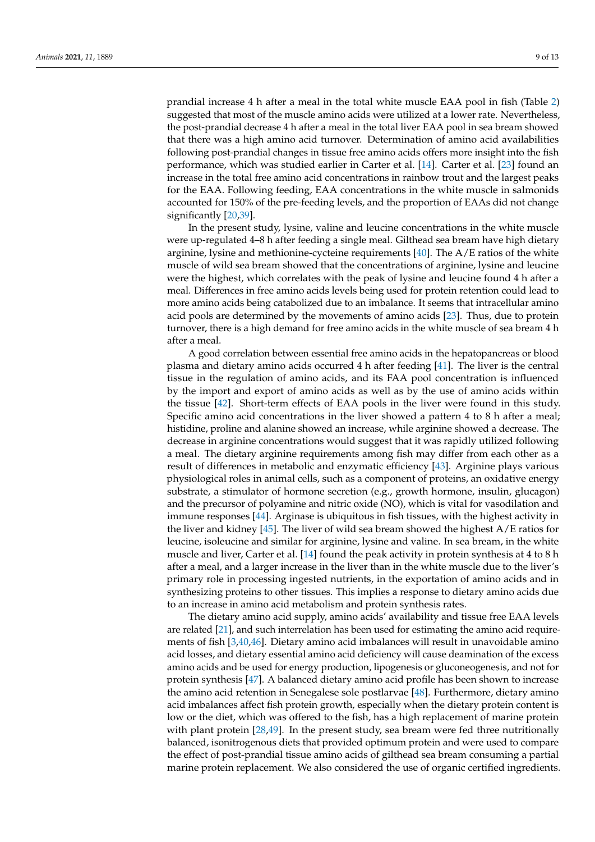prandial increase 4 h after a meal in the total white muscle EAA pool in fish (Table [2\)](#page-4-0) suggested that most of the muscle amino acids were utilized at a lower rate. Nevertheless, the post-prandial decrease 4 h after a meal in the total liver EAA pool in sea bream showed that there was a high amino acid turnover. Determination of amino acid availabilities following post-prandial changes in tissue free amino acids offers more insight into the fish performance, which was studied earlier in Carter et al. [\[14\]](#page-10-11). Carter et al. [\[23\]](#page-11-13) found an increase in the total free amino acid concentrations in rainbow trout and the largest peaks for the EAA. Following feeding, EAA concentrations in the white muscle in salmonids accounted for 150% of the pre-feeding levels, and the proportion of EAAs did not change significantly [\[20](#page-10-15)[,39\]](#page-11-14).

In the present study, lysine, valine and leucine concentrations in the white muscle were up-regulated 4–8 h after feeding a single meal. Gilthead sea bream have high dietary arginine, lysine and methionine-cycteine requirements  $[40]$ . The  $A/E$  ratios of the white muscle of wild sea bream showed that the concentrations of arginine, lysine and leucine were the highest, which correlates with the peak of lysine and leucine found 4 h after a meal. Differences in free amino acids levels being used for protein retention could lead to more amino acids being catabolized due to an imbalance. It seems that intracellular amino acid pools are determined by the movements of amino acids [\[23\]](#page-11-13). Thus, due to protein turnover, there is a high demand for free amino acids in the white muscle of sea bream 4 h after a meal.

A good correlation between essential free amino acids in the hepatopancreas or blood plasma and dietary amino acids occurred 4 h after feeding [\[41\]](#page-11-16). The liver is the central tissue in the regulation of amino acids, and its FAA pool concentration is influenced by the import and export of amino acids as well as by the use of amino acids within the tissue [\[42\]](#page-11-17). Short-term effects of EAA pools in the liver were found in this study. Specific amino acid concentrations in the liver showed a pattern 4 to 8 h after a meal; histidine, proline and alanine showed an increase, while arginine showed a decrease. The decrease in arginine concentrations would suggest that it was rapidly utilized following a meal. The dietary arginine requirements among fish may differ from each other as a result of differences in metabolic and enzymatic efficiency [\[43\]](#page-11-18). Arginine plays various physiological roles in animal cells, such as a component of proteins, an oxidative energy substrate, a stimulator of hormone secretion (e.g., growth hormone, insulin, glucagon) and the precursor of polyamine and nitric oxide (NO), which is vital for vasodilation and immune responses [\[44\]](#page-11-19). Arginase is ubiquitous in fish tissues, with the highest activity in the liver and kidney [\[45\]](#page-11-20). The liver of wild sea bream showed the highest A/E ratios for leucine, isoleucine and similar for arginine, lysine and valine. In sea bream, in the white muscle and liver, Carter et al. [\[14\]](#page-10-11) found the peak activity in protein synthesis at 4 to 8 h after a meal, and a larger increase in the liver than in the white muscle due to the liver's primary role in processing ingested nutrients, in the exportation of amino acids and in synthesizing proteins to other tissues. This implies a response to dietary amino acids due to an increase in amino acid metabolism and protein synthesis rates.

The dietary amino acid supply, amino acids' availability and tissue free EAA levels are related [\[21\]](#page-10-16), and such interrelation has been used for estimating the amino acid requirements of fish [\[3](#page-10-2)[,40](#page-11-15)[,46\]](#page-11-21). Dietary amino acid imbalances will result in unavoidable amino acid losses, and dietary essential amino acid deficiency will cause deamination of the excess amino acids and be used for energy production, lipogenesis or gluconeogenesis, and not for protein synthesis [\[47\]](#page-11-22). A balanced dietary amino acid profile has been shown to increase the amino acid retention in Senegalese sole postlarvae [\[48\]](#page-11-23). Furthermore, dietary amino acid imbalances affect fish protein growth, especially when the dietary protein content is low or the diet, which was offered to the fish, has a high replacement of marine protein with plant protein [\[28,](#page-11-1)[49\]](#page-12-0). In the present study, sea bream were fed three nutritionally balanced, isonitrogenous diets that provided optimum protein and were used to compare the effect of post-prandial tissue amino acids of gilthead sea bream consuming a partial marine protein replacement. We also considered the use of organic certified ingredients.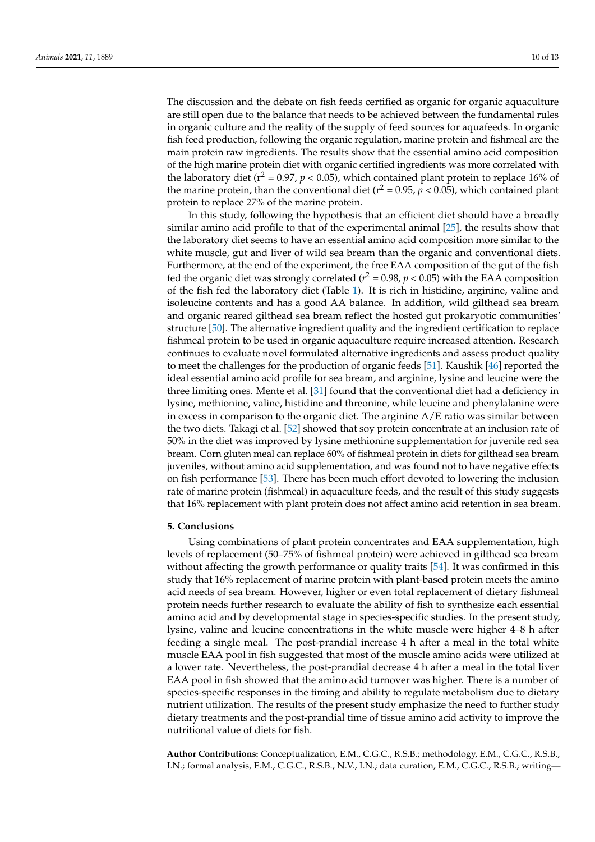The discussion and the debate on fish feeds certified as organic for organic aquaculture are still open due to the balance that needs to be achieved between the fundamental rules in organic culture and the reality of the supply of feed sources for aquafeeds. In organic fish feed production, following the organic regulation, marine protein and fishmeal are the main protein raw ingredients. The results show that the essential amino acid composition of the high marine protein diet with organic certified ingredients was more correlated with the laboratory diet ( $r^2 = 0.97$ ,  $p < 0.05$ ), which contained plant protein to replace 16% of the marine protein, than the conventional diet ( $r^2 = 0.95$ ,  $p < 0.05$ ), which contained plant protein to replace 27% of the marine protein.

In this study, following the hypothesis that an efficient diet should have a broadly similar amino acid profile to that of the experimental animal [\[25\]](#page-11-24), the results show that the laboratory diet seems to have an essential amino acid composition more similar to the white muscle, gut and liver of wild sea bream than the organic and conventional diets. Furthermore, at the end of the experiment, the free EAA composition of the gut of the fish fed the organic diet was strongly correlated ( $r^2$  = 0.98,  $p$  < 0.05) with the EAA composition of the fish fed the laboratory diet (Table [1\)](#page-3-0). It is rich in histidine, arginine, valine and isoleucine contents and has a good AA balance. In addition, wild gilthead sea bream and organic reared gilthead sea bream reflect the hosted gut prokaryotic communities' structure [\[50\]](#page-12-1). The alternative ingredient quality and the ingredient certification to replace fishmeal protein to be used in organic aquaculture require increased attention. Research continues to evaluate novel formulated alternative ingredients and assess product quality to meet the challenges for the production of organic feeds [\[51\]](#page-12-2). Kaushik [\[46\]](#page-11-21) reported the ideal essential amino acid profile for sea bream, and arginine, lysine and leucine were the three limiting ones. Mente et al. [\[31\]](#page-11-5) found that the conventional diet had a deficiency in lysine, methionine, valine, histidine and threonine, while leucine and phenylalanine were in excess in comparison to the organic diet. The arginine A/E ratio was similar between the two diets. Takagi et al. [\[52\]](#page-12-3) showed that soy protein concentrate at an inclusion rate of 50% in the diet was improved by lysine methionine supplementation for juvenile red sea bream. Corn gluten meal can replace 60% of fishmeal protein in diets for gilthead sea bream juveniles, without amino acid supplementation, and was found not to have negative effects on fish performance [\[53\]](#page-12-4). There has been much effort devoted to lowering the inclusion rate of marine protein (fishmeal) in aquaculture feeds, and the result of this study suggests that 16% replacement with plant protein does not affect amino acid retention in sea bream.

#### **5. Conclusions**

Using combinations of plant protein concentrates and EAA supplementation, high levels of replacement (50–75% of fishmeal protein) were achieved in gilthead sea bream without affecting the growth performance or quality traits [\[54\]](#page-12-5). It was confirmed in this study that 16% replacement of marine protein with plant-based protein meets the amino acid needs of sea bream. However, higher or even total replacement of dietary fishmeal protein needs further research to evaluate the ability of fish to synthesize each essential amino acid and by developmental stage in species-specific studies. In the present study, lysine, valine and leucine concentrations in the white muscle were higher 4–8 h after feeding a single meal. The post-prandial increase 4 h after a meal in the total white muscle EAA pool in fish suggested that most of the muscle amino acids were utilized at a lower rate. Nevertheless, the post-prandial decrease 4 h after a meal in the total liver EAA pool in fish showed that the amino acid turnover was higher. There is a number of species-specific responses in the timing and ability to regulate metabolism due to dietary nutrient utilization. The results of the present study emphasize the need to further study dietary treatments and the post-prandial time of tissue amino acid activity to improve the nutritional value of diets for fish.

**Author Contributions:** Conceptualization, E.M., C.G.C., R.S.B.; methodology, E.M., C.G.C., R.S.B., I.N.; formal analysis, E.M., C.G.C., R.S.B., N.V., I.N.; data curation, E.M., C.G.C., R.S.B.; writing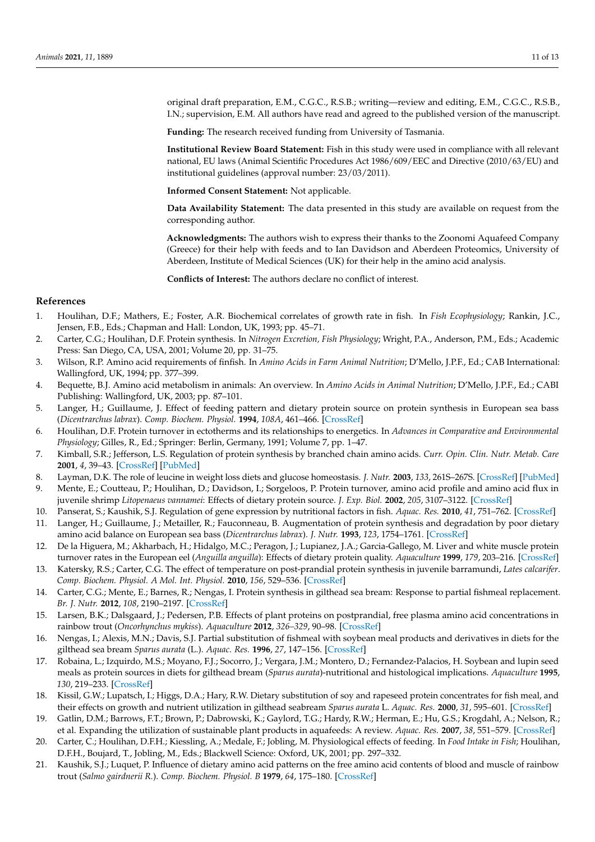original draft preparation, E.M., C.G.C., R.S.B.; writing—review and editing, E.M., C.G.C., R.S.B., I.N.; supervision, E.M. All authors have read and agreed to the published version of the manuscript.

**Funding:** The research received funding from University of Tasmania.

**Institutional Review Board Statement:** Fish in this study were used in compliance with all relevant national, EU laws (Animal Scientific Procedures Act 1986/609/EEC and Directive (2010/63/EU) and institutional guidelines (approval number: 23/03/2011).

**Informed Consent Statement:** Not applicable.

**Data Availability Statement:** The data presented in this study are available on request from the corresponding author.

**Acknowledgments:** The authors wish to express their thanks to the Zoonomi Aquafeed Company (Greece) for their help with feeds and to Ian Davidson and Aberdeen Proteomics, University of Aberdeen, Institute of Medical Sciences (UK) for their help in the amino acid analysis.

**Conflicts of Interest:** The authors declare no conflict of interest.

## **References**

- <span id="page-10-0"></span>1. Houlihan, D.F.; Mathers, E.; Foster, A.R. Biochemical correlates of growth rate in fish. In *Fish Ecophysiology*; Rankin, J.C., Jensen, F.B., Eds.; Chapman and Hall: London, UK, 1993; pp. 45–71.
- <span id="page-10-1"></span>2. Carter, C.G.; Houlihan, D.F. Protein synthesis. In *Nitrogen Excretion, Fish Physiology*; Wright, P.A., Anderson, P.M., Eds.; Academic Press: San Diego, CA, USA, 2001; Volume 20, pp. 31–75.
- <span id="page-10-2"></span>3. Wilson, R.P. Amino acid requirements of finfish. In *Amino Acids in Farm Animal Nutrition*; D'Mello, J.P.F., Ed.; CAB International: Wallingford, UK, 1994; pp. 377–399.
- <span id="page-10-3"></span>4. Bequette, B.J. Amino acid metabolism in animals: An overview. In *Amino Acids in Animal Nutrition*; D'Mello, J.P.F., Ed.; CABI Publishing: Wallingford, UK, 2003; pp. 87–101.
- <span id="page-10-4"></span>5. Langer, H.; Guillaume, J. Effect of feeding pattern and dietary protein source on protein synthesis in European sea bass (*Dicentrarchus labrax*). *Comp. Biochem. Physiol.* **1994**, *108A*, 461–466. [\[CrossRef\]](http://doi.org/10.1016/0300-9629(94)90119-8)
- <span id="page-10-5"></span>6. Houlihan, D.F. Protein turnover in ectotherms and its relationships to energetics. In *Advances in Comparative and Environmental Physiology*; Gilles, R., Ed.; Springer: Berlin, Germany, 1991; Volume 7, pp. 1–47.
- <span id="page-10-6"></span>7. Kimball, S.R.; Jefferson, L.S. Regulation of protein synthesis by branched chain amino acids. *Curr. Opin. Clin. Nutr. Metab. Care* **2001**, *4*, 39–43. [\[CrossRef\]](http://doi.org/10.1097/00075197-200101000-00008) [\[PubMed\]](http://www.ncbi.nlm.nih.gov/pubmed/11122558)
- <span id="page-10-7"></span>8. Layman, D.K. The role of leucine in weight loss diets and glucose homeostasis. *J. Nutr.* **2003**, *133*, 261S–267S. [\[CrossRef\]](http://doi.org/10.1093/jn/133.1.261S) [\[PubMed\]](http://www.ncbi.nlm.nih.gov/pubmed/12514305)
- <span id="page-10-8"></span>9. Mente, E.; Coutteau, P.; Houlihan, D.; Davidson, I.; Sorgeloos, P. Protein turnover, amino acid profile and amino acid flux in juvenile shrimp *Litopenaeus vannamei*: Effects of dietary protein source. *J. Exp. Biol.* **2002**, *205*, 3107–3122. [\[CrossRef\]](http://doi.org/10.1242/jeb.205.20.3107)
- <span id="page-10-9"></span>10. Panserat, S.; Kaushik, S.J. Regulation of gene expression by nutritional factors in fish. *Aquac. Res.* **2010**, *41*, 751–762. [\[CrossRef\]](http://doi.org/10.1111/j.1365-2109.2009.02173.x)
- <span id="page-10-10"></span>11. Langer, H.; Guillaume, J.; Metailler, R.; Fauconneau, B. Augmentation of protein synthesis and degradation by poor dietary amino acid balance on European sea bass (*Dicentrarchus labrax*). *J. Nutr.* **1993**, *123*, 1754–1761. [\[CrossRef\]](http://doi.org/10.1093/jn/123.10.1754)
- 12. De la Higuera, M.; Akharbach, H.; Hidalgo, M.C.; Peragon, J.; Lupianez, J.A.; Garcia-Gallego, M. Liver and white muscle protein turnover rates in the European eel (*Anguilla anguilla*): Effects of dietary protein quality. *Aquaculture* **1999**, *179*, 203–216. [\[CrossRef\]](http://doi.org/10.1016/S0044-8486(99)00163-5)
- 13. Katersky, R.S.; Carter, C.G. The effect of temperature on post-prandial protein synthesis in juvenile barramundi, *Lates calcarifer*. *Comp. Biochem. Physiol. A Mol. Int. Physiol.* **2010**, *156*, 529–536. [\[CrossRef\]](http://doi.org/10.1016/j.cbpa.2010.04.009)
- <span id="page-10-11"></span>14. Carter, C.G.; Mente, E.; Barnes, R.; Nengas, I. Protein synthesis in gilthead sea bream: Response to partial fishmeal replacement. *Br. J. Nutr.* **2012**, *108*, 2190–2197. [\[CrossRef\]](http://doi.org/10.1017/S0007114512000426)
- <span id="page-10-12"></span>15. Larsen, B.K.; Dalsgaard, J.; Pedersen, P.B. Effects of plant proteins on postprandial, free plasma amino acid concentrations in rainbow trout (*Oncorhynchus mykiss*). *Aquaculture* **2012**, *326–329*, 90–98. [\[CrossRef\]](http://doi.org/10.1016/j.aquaculture.2011.11.028)
- <span id="page-10-13"></span>16. Nengas, I.; Alexis, M.N.; Davis, S.J. Partial substitution of fishmeal with soybean meal products and derivatives in diets for the gilthead sea bream *Sparus aurata* (L.). *Aquac. Res.* **1996**, *27*, 147–156. [\[CrossRef\]](http://doi.org/10.1111/j.1365-2109.1996.tb00979.x)
- 17. Robaina, L.; Izquirdo, M.S.; Moyano, F.J.; Socorro, J.; Vergara, J.M.; Montero, D.; Fernandez-Palacios, H. Soybean and lupin seed meals as protein sources in diets for gilthead bream (*Sparus aurata*)-nutritional and histological implications. *Aquaculture* **1995**, *130*, 219–233. [\[CrossRef\]](http://doi.org/10.1016/0044-8486(94)00225-D)
- 18. Kissil, G.W.; Lupatsch, I.; Higgs, D.A.; Hary, R.W. Dietary substitution of soy and rapeseed protein concentrates for fish meal, and their effects on growth and nutrient utilization in gilthead seabream *Sparus aurata* L. *Aquac. Res.* **2000**, *31*, 595–601. [\[CrossRef\]](http://doi.org/10.1046/j.1365-2109.2000.00477.x)
- <span id="page-10-14"></span>19. Gatlin, D.M.; Barrows, F.T.; Brown, P.; Dabrowski, K.; Gaylord, T.G.; Hardy, R.W.; Herman, E.; Hu, G.S.; Krogdahl, A.; Nelson, R.; et al. Expanding the utilization of sustainable plant products in aquafeeds: A review. *Aquac. Res.* **2007**, *38*, 551–579. [\[CrossRef\]](http://doi.org/10.1111/j.1365-2109.2007.01704.x)
- <span id="page-10-15"></span>20. Carter, C.; Houlihan, D.F.H.; Kiessling, A.; Medale, F.; Jobling, M. Physiological effects of feeding. In *Food Intake in Fish*; Houlihan, D.F.H., Boujard, T., Jobling, M., Eds.; Blackwell Science: Oxford, UK, 2001; pp. 297–332.
- <span id="page-10-16"></span>21. Kaushik, S.J.; Luquet, P. Influence of dietary amino acid patterns on the free amino acid contents of blood and muscle of rainbow trout (*Salmo gairdnerii R.*). *Comp. Biochem. Physiol. B* **1979**, *64*, 175–180. [\[CrossRef\]](http://doi.org/10.1016/0305-0491(79)90157-3)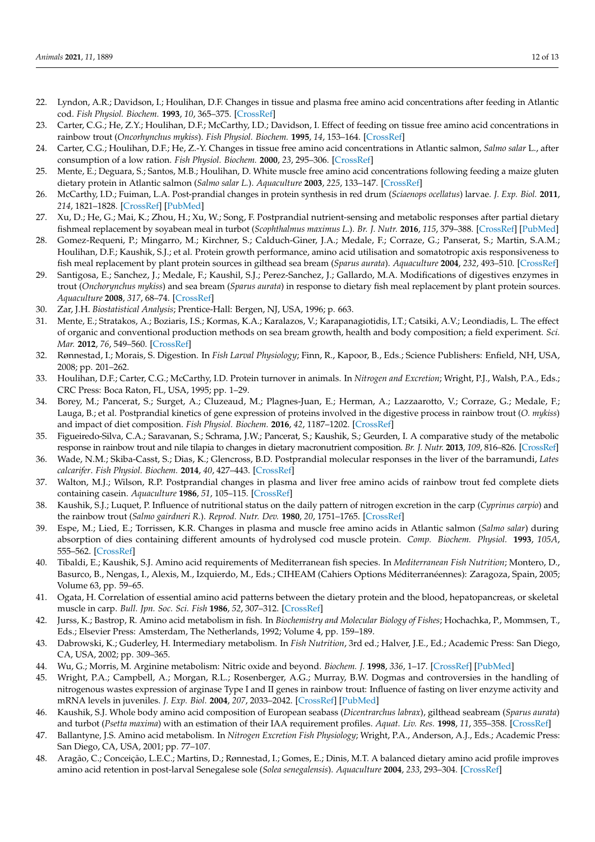- <span id="page-11-3"></span>22. Lyndon, A.R.; Davidson, I.; Houlihan, D.F. Changes in tissue and plasma free amino acid concentrations after feeding in Atlantic cod. *Fish Physiol. Biochem.* **1993**, *10*, 365–375. [\[CrossRef\]](http://doi.org/10.1007/BF00004503)
- <span id="page-11-13"></span>23. Carter, C.G.; He, Z.Y.; Houlihan, D.F.; McCarthy, I.D.; Davidson, I. Effect of feeding on tissue free amino acid concentrations in rainbow trout (*Oncorhynchus mykiss*). *Fish Physiol. Biochem.* **1995**, *14*, 153–164. [\[CrossRef\]](http://doi.org/10.1007/BF00002458)
- 24. Carter, C.G.; Houlihan, D.F.; He, Z.-Y. Changes in tissue free amino acid concentrations in Atlantic salmon, *Salmo salar* L., after consumption of a low ration. *Fish Physiol. Biochem.* **2000**, *23*, 295–306. [\[CrossRef\]](http://doi.org/10.1023/A:1011187026997)
- <span id="page-11-24"></span>25. Mente, E.; Deguara, S.; Santos, M.B.; Houlihan, D. White muscle free amino acid concentrations following feeding a maize gluten dietary protein in Atlantic salmon (*Salmo salar L.*). *Aquaculture* **2003**, *225*, 133–147. [\[CrossRef\]](http://doi.org/10.1016/S0044-8486(03)00285-0)
- 26. McCarthy, I.D.; Fuiman, L.A. Post-prandial changes in protein synthesis in red drum (*Sciaenops ocellatus*) larvae. *J. Exp. Biol.* **2011**, *214*, 1821–1828. [\[CrossRef\]](http://doi.org/10.1242/jeb.052753) [\[PubMed\]](http://www.ncbi.nlm.nih.gov/pubmed/21562168)
- <span id="page-11-0"></span>27. Xu, D.; He, G.; Mai, K.; Zhou, H.; Xu, W.; Song, F. Postprandial nutrient-sensing and metabolic responses after partial dietary fishmeal replacement by soyabean meal in turbot (*Scophthalmus maximus L*.). *Br. J. Nutr.* **2016**, *115*, 379–388. [\[CrossRef\]](http://doi.org/10.1017/S0007114515004535) [\[PubMed\]](http://www.ncbi.nlm.nih.gov/pubmed/26586314)
- <span id="page-11-1"></span>28. Gomez-Requeni, P.; Mingarro, M.; Kirchner, S.; Calduch-Giner, J.A.; Medale, F.; Corraze, G.; Panserat, S.; Martin, S.A.M.; Houlihan, D.F.; Kaushik, S.J.; et al. Protein growth performance, amino acid utilisation and somatotropic axis responsiveness to fish meal replacement by plant protein sources in gilthead sea bream (*Sparus aurata*). *Aquaculture* **2004**, *232*, 493–510. [\[CrossRef\]](http://doi.org/10.1016/S0044-8486(03)00532-5)
- <span id="page-11-2"></span>29. Santigosa, E.; Sanchez, J.; Medale, F.; Kaushil, S.J.; Perez-Sanchez, J.; Gallardo, M.A. Modifications of digestives enzymes in trout (*Onchorynchus mykiss*) and sea bream (*Sparus aurata*) in response to dietary fish meal replacement by plant protein sources. *Aquaculture* **2008**, *317*, 68–74. [\[CrossRef\]](http://doi.org/10.1016/j.aquaculture.2008.06.007)
- <span id="page-11-4"></span>30. Zar, J.H. *Biostatistical Analysis*; Prentice-Hall: Bergen, NJ, USA, 1996; p. 663.
- <span id="page-11-5"></span>31. Mente, E.; Stratakos, A.; Boziaris, I.S.; Kormas, K.A.; Karalazos, V.; Karapanagiotidis, I.T.; Catsiki, A.V.; Leondiadis, L. The effect of organic and conventional production methods on sea bream growth, health and body composition; a field experiment. *Sci. Mar.* **2012**, *76*, 549–560. [\[CrossRef\]](http://doi.org/10.3989/scimar.03411.07C)
- <span id="page-11-6"></span>32. Rønnestad, I.; Morais, S. Digestion. In *Fish Larval Physiology*; Finn, R., Kapoor, B., Eds.; Science Publishers: Enfield, NH, USA, 2008; pp. 201–262.
- <span id="page-11-7"></span>33. Houlihan, D.F.; Carter, C.G.; McCarthy, I.D. Protein turnover in animals. In *Nitrogen and Excretion*; Wright, P.J., Walsh, P.A., Eds.; CRC Press: Boca Raton, FL, USA, 1995; pp. 1–29.
- <span id="page-11-8"></span>34. Borey, M.; Pancerat, S.; Surget, A.; Cluzeaud, M.; Plagnes-Juan, E.; Herman, A.; Lazzaarotto, V.; Corraze, G.; Medale, F.; Lauga, B.; et al. Postprandial kinetics of gene expression of proteins involved in the digestive process in rainbow trout (*O. mykiss*) and impact of diet composition. *Fish Physiol. Biochem.* **2016**, *42*, 1187–1202. [\[CrossRef\]](http://doi.org/10.1007/s10695-016-0208-4)
- <span id="page-11-9"></span>35. Figueiredo-Silva, C.A.; Saravanan, S.; Schrama, J.W.; Pancerat, S.; Kaushik, S.; Geurden, I. A comparative study of the metabolic response in rainbow trout and nile tilapia to changes in dietary macronutrient composition. *Br. J. Nutr.* **2013**, *109*, 816–826. [\[CrossRef\]](http://doi.org/10.1017/S000711451200205X)
- <span id="page-11-10"></span>36. Wade, N.M.; Skiba-Casst, S.; Dias, K.; Glencross, B.D. Postprandial molecular responses in the liver of the barramundi, *Lates calcarifer*. *Fish Physiol. Biochem.* **2014**, *40*, 427–443. [\[CrossRef\]](http://doi.org/10.1007/s10695-013-9854-y)
- <span id="page-11-11"></span>37. Walton, M.J.; Wilson, R.P. Postprandial changes in plasma and liver free amino acids of rainbow trout fed complete diets containing casein. *Aquaculture* **1986**, *51*, 105–115. [\[CrossRef\]](http://doi.org/10.1016/0044-8486(86)90132-8)
- <span id="page-11-12"></span>38. Kaushik, S.J.; Luquet, P. Influence of nutritional status on the daily pattern of nitrogen excretion in the carp (*Cyprinus carpio*) and the rainbow trout (*Salmo gairdneri R*.). *Reprod. Nutr. Dev.* **1980**, *20*, 1751–1765. [\[CrossRef\]](http://doi.org/10.1051/rnd:19801002)
- <span id="page-11-14"></span>39. Espe, M.; Lied, E.; Torrissen, K.R. Changes in plasma and muscle free amino acids in Atlantic salmon (*Salmo salar*) during absorption of dies containing different amounts of hydrolysed cod muscle protein. *Comp. Biochem. Physiol.* **1993**, *105A*, 555–562. [\[CrossRef\]](http://doi.org/10.1016/0300-9629(93)90434-6)
- <span id="page-11-15"></span>40. Tibaldi, E.; Kaushik, S.J. Amino acid requirements of Mediterranean fish species. In *Mediterranean Fish Nutrition*; Montero, D., Basurco, B., Nengas, I., Alexis, M., Izquierdo, M., Eds.; CIHEAM (Cahiers Options Méditerranéennes): Zaragoza, Spain, 2005; Volume 63, pp. 59–65.
- <span id="page-11-16"></span>41. Ogata, H. Correlation of essential amino acid patterns between the dietary protein and the blood, hepatopancreas, or skeletal muscle in carp. *Bull. Jpn. Soc. Sci. Fish* **1986**, *52*, 307–312. [\[CrossRef\]](http://doi.org/10.2331/suisan.52.307)
- <span id="page-11-17"></span>42. Jurss, K.; Bastrop, R. Amino acid metabolism in fish. In *Biochemistry and Molecular Biology of Fishes*; Hochachka, P., Mommsen, T., Eds.; Elsevier Press: Amsterdam, The Netherlands, 1992; Volume 4, pp. 159–189.
- <span id="page-11-18"></span>43. Dabrowski, K.; Guderley, H. Intermediary metabolism. In *Fish Nutrition*, 3rd ed.; Halver, J.E., Ed.; Academic Press: San Diego, CA, USA, 2002; pp. 309–365.
- <span id="page-11-19"></span>44. Wu, G.; Morris, M. Arginine metabolism: Nitric oxide and beyond. *Biochem. J.* **1998**, *336*, 1–17. [\[CrossRef\]](http://doi.org/10.1042/bj3360001) [\[PubMed\]](http://www.ncbi.nlm.nih.gov/pubmed/9806879)
- <span id="page-11-20"></span>45. Wright, P.A.; Campbell, A.; Morgan, R.L.; Rosenberger, A.G.; Murray, B.W. Dogmas and controversies in the handling of nitrogenous wastes expression of arginase Type I and II genes in rainbow trout: Influence of fasting on liver enzyme activity and mRNA levels in juveniles. *J. Exp. Biol.* **2004**, *207*, 2033–2042. [\[CrossRef\]](http://doi.org/10.1242/jeb.00958) [\[PubMed\]](http://www.ncbi.nlm.nih.gov/pubmed/15143137)
- <span id="page-11-21"></span>46. Kaushik, S.J. Whole body amino acid composition of European seabass (*Dicentrarchus labrax*), gilthead seabream (*Sparus aurata*) and turbot (*Psetta maxima*) with an estimation of their IAA requirement profiles. *Aquat. Liv. Res.* **1998**, *11*, 355–358. [\[CrossRef\]](http://doi.org/10.1016/S0990-7440(98)80007-7)
- <span id="page-11-22"></span>47. Ballantyne, J.S. Amino acid metabolism. In *Nitrogen Excretion Fish Physiology*; Wright, P.A., Anderson, A.J., Eds.; Academic Press: San Diego, CA, USA, 2001; pp. 77–107.
- <span id="page-11-23"></span>48. Aragão, C.; Conceição, L.E.C.; Martins, D.; Rønnestad, I.; Gomes, E.; Dinis, M.T. A balanced dietary amino acid profile improves amino acid retention in post-larval Senegalese sole (*Solea senegalensis*). *Aquaculture* **2004**, *233*, 293–304. [\[CrossRef\]](http://doi.org/10.1016/j.aquaculture.2003.08.007)